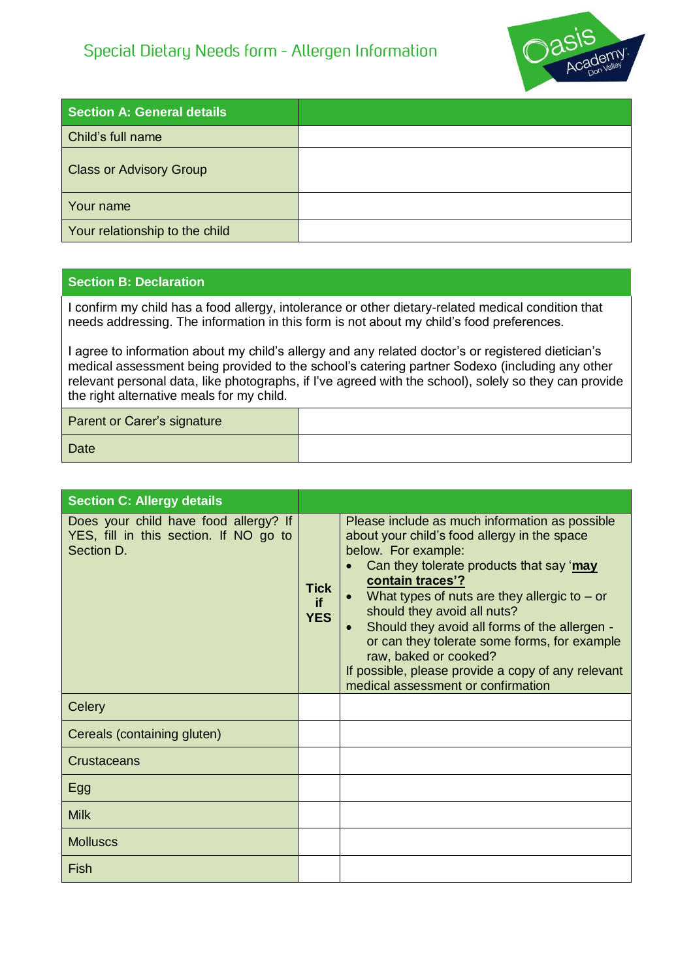## Special Dietary Needs form - Allergen Information



| <b>Section A: General details</b> |  |
|-----------------------------------|--|
| Child's full name                 |  |
| <b>Class or Advisory Group</b>    |  |
| Your name                         |  |
| Your relationship to the child    |  |

## **Section B: Declaration**

I confirm my child has a food allergy, intolerance or other dietary-related medical condition that needs addressing. The information in this form is not about my child's food preferences.

I agree to information about my child's allergy and any related doctor's or registered dietician's medical assessment being provided to the school's catering partner Sodexo (including any other relevant personal data, like photographs, if I've agreed with the school), solely so they can provide the right alternative meals for my child.

| Parent or Carer's signature |  |
|-----------------------------|--|
| <b>Date</b>                 |  |

| <b>Section C: Allergy details</b>                                                             |                                 |                                                                                                                                                                                                                                                                                                                                                                                                                                                                                                           |
|-----------------------------------------------------------------------------------------------|---------------------------------|-----------------------------------------------------------------------------------------------------------------------------------------------------------------------------------------------------------------------------------------------------------------------------------------------------------------------------------------------------------------------------------------------------------------------------------------------------------------------------------------------------------|
| Does your child have food allergy? If<br>YES, fill in this section. If NO go to<br>Section D. | <b>Tick</b><br>if<br><b>YES</b> | Please include as much information as possible<br>about your child's food allergy in the space<br>below. For example:<br>Can they tolerate products that say 'may<br>contain traces'?<br>What types of nuts are they allergic to $-$ or<br>should they avoid all nuts?<br>Should they avoid all forms of the allergen -<br>$\bullet$<br>or can they tolerate some forms, for example<br>raw, baked or cooked?<br>If possible, please provide a copy of any relevant<br>medical assessment or confirmation |
| Celery                                                                                        |                                 |                                                                                                                                                                                                                                                                                                                                                                                                                                                                                                           |
| Cereals (containing gluten)                                                                   |                                 |                                                                                                                                                                                                                                                                                                                                                                                                                                                                                                           |
| Crustaceans                                                                                   |                                 |                                                                                                                                                                                                                                                                                                                                                                                                                                                                                                           |
| Egg                                                                                           |                                 |                                                                                                                                                                                                                                                                                                                                                                                                                                                                                                           |
| <b>Milk</b>                                                                                   |                                 |                                                                                                                                                                                                                                                                                                                                                                                                                                                                                                           |
| <b>Molluscs</b>                                                                               |                                 |                                                                                                                                                                                                                                                                                                                                                                                                                                                                                                           |
| Fish                                                                                          |                                 |                                                                                                                                                                                                                                                                                                                                                                                                                                                                                                           |